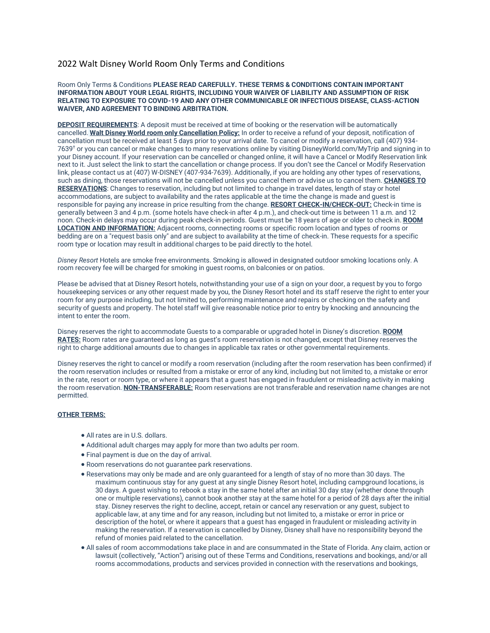# 2022 Walt Disney World Room Only Terms and Conditions

### Room Only Terms & Conditions **PLEASE READ CAREFULLY. THESE TERMS & CONDITIONS CONTAIN IMPORTANT INFORMATION ABOUT YOUR LEGAL RIGHTS, INCLUDING YOUR WAIVER OF LIABILITY AND ASSUMPTION OF RISK RELATING TO EXPOSURE TO COVID-19 AND ANY OTHER COMMUNICABLE OR INFECTIOUS DISEASE, CLASS-ACTION WAIVER, AND AGREEMENT TO BINDING ARBITRATION.**

**DEPOSIT REQUIREMENTS**: A deposit must be received at time of booking or the reservation will be automatically cancelled. **Walt Disney World room only Cancellation Policy:** In order to receive a refund of your deposit, notification of cancellation must be received at least 5 days prior to your arrival date. To cancel or modify a reservation, call (407) 934- 7639† or you can cancel or make changes to many reservations online by visiting DisneyWorld.com/MyTrip and signing in to your Disney account. If your reservation can be cancelled or changed online, it will have a Cancel or Modify Reservation link next to it. Just select the link to start the cancellation or change process. If you don't see the Cancel or Modify Reservation link, please contact us at (407) W-DISNEY (407-934-7639). Additionally, if you are holding any other types of reservations, such as dining, those reservations will not be cancelled unless you cancel them or advise us to cancel them. **CHANGES TO RESERVATIONS**: Changes to reservation, including but not limited to change in travel dates, length of stay or hotel accommodations, are subject to availability and the rates applicable at the time the change is made and guest is responsible for paying any increase in price resulting from the change. **RESORT CHECK-IN/CHECK-OUT:** Check-in time is generally between 3 and 4 p.m. (some hotels have check-in after 4 p.m.), and check-out time is between 11 a.m. and 12 noon. Check-in delays may occur during peak check-in periods. Guest must be 18 years of age or older to check in. **ROOM LOCATION AND INFORMATION:** Adjacent rooms, connecting rooms or specific room location and types of rooms or bedding are on a "request basis only" and are subject to availability at the time of check-in. These requests for a specific room type or location may result in additional charges to be paid directly to the hotel.

*Disney Resort* Hotels are smoke free environments. Smoking is allowed in designated outdoor smoking locations only. A room recovery fee will be charged for smoking in guest rooms, on balconies or on patios.

Please be advised that at Disney Resort hotels, notwithstanding your use of a sign on your door, a request by you to forgo housekeeping services or any other request made by you, the Disney Resort hotel and its staff reserve the right to enter your room for any purpose including, but not limited to, performing maintenance and repairs or checking on the safety and security of guests and property. The hotel staff will give reasonable notice prior to entry by knocking and announcing the intent to enter the room.

Disney reserves the right to accommodate Guests to a comparable or upgraded hotel in Disney's discretion. **ROOM RATES:** Room rates are guaranteed as long as guest's room reservation is not changed, except that Disney reserves the right to charge additional amounts due to changes in applicable tax rates or other governmental requirements.

Disney reserves the right to cancel or modify a room reservation (including after the room reservation has been confirmed) if the room reservation includes or resulted from a mistake or error of any kind, including but not limited to, a mistake or error in the rate, resort or room type, or where it appears that a guest has engaged in fraudulent or misleading activity in making the room reservation. **NON-TRANSFERABLE:** Room reservations are not transferable and reservation name changes are not permitted.

## **OTHER TERMS:**

- All rates are in U.S. dollars.
- Additional adult charges may apply for more than two adults per room.
- Final payment is due on the day of arrival.
- Room reservations do not guarantee park reservations.
- Reservations may only be made and are only guaranteed for a length of stay of no more than 30 days. The maximum continuous stay for any guest at any single Disney Resort hotel, including campground locations, is 30 days. A guest wishing to rebook a stay in the same hotel after an initial 30 day stay (whether done through one or multiple reservations), cannot book another stay at the same hotel for a period of 28 days after the initial stay. Disney reserves the right to decline, accept, retain or cancel any reservation or any guest, subject to applicable law, at any time and for any reason, including but not limited to, a mistake or error in price or description of the hotel, or where it appears that a guest has engaged in fraudulent or misleading activity in making the reservation. If a reservation is cancelled by Disney, Disney shall have no responsibility beyond the refund of monies paid related to the cancellation.
- All sales of room accommodations take place in and are consummated in the State of Florida. Any claim, action or lawsuit (collectively, "Action") arising out of these Terms and Conditions, reservations and bookings, and/or all rooms accommodations, products and services provided in connection with the reservations and bookings,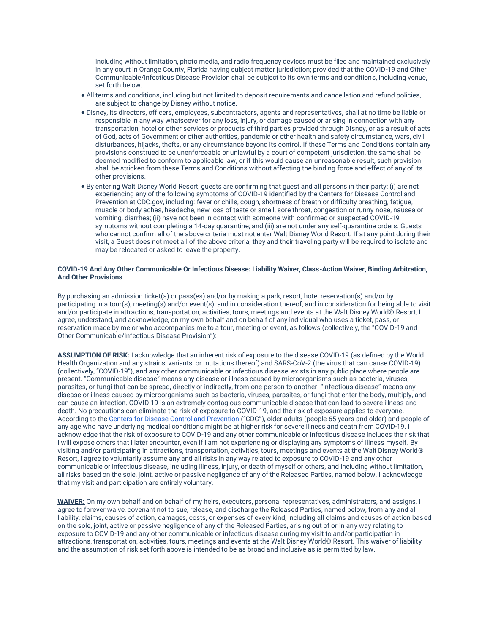including without limitation, photo media, and radio frequency devices must be filed and maintained exclusively in any court in Orange County, Florida having subject matter jurisdiction; provided that the COVID-19 and Other Communicable/Infectious Disease Provision shall be subject to its own terms and conditions, including venue, set forth below.

- All terms and conditions, including but not limited to deposit requirements and cancellation and refund policies, are subject to change by Disney without notice.
- Disney, its directors, officers, employees, subcontractors, agents and representatives, shall at no time be liable or responsible in any way whatsoever for any loss, injury, or damage caused or arising in connection with any transportation, hotel or other services or products of third parties provided through Disney, or as a result of acts of God, acts of Government or other authorities, pandemic or other health and safety circumstance, wars, civil disturbances, hijacks, thefts, or any circumstance beyond its control. If these Terms and Conditions contain any provisions construed to be unenforceable or unlawful by a court of competent jurisdiction, the same shall be deemed modified to conform to applicable law, or if this would cause an unreasonable result, such provision shall be stricken from these Terms and Conditions without affecting the binding force and effect of any of its other provisions.
- By entering Walt Disney World Resort, guests are confirming that guest and all persons in their party: (i) are not experiencing any of the following symptoms of COVID-19 identified by the Centers for Disease Control and Prevention at CDC.gov, including: fever or chills, cough, shortness of breath or difficulty breathing, fatigue, muscle or body aches, headache, new loss of taste or smell, sore throat, congestion or runny nose, nausea or vomiting, diarrhea; (ii) have not been in contact with someone with confirmed or suspected COVID-19 symptoms without completing a 14-day quarantine; and (iii) are not under any self-quarantine orders. Guests who cannot confirm all of the above criteria must not enter Walt Disney World Resort. If at any point during their visit, a Guest does not meet all of the above criteria, they and their traveling party will be required to isolate and may be relocated or asked to leave the property.

## **COVID-19 And Any Other Communicable Or Infectious Disease: Liability Waiver, Class-Action Waiver, Binding Arbitration, And Other Provisions**

By purchasing an admission ticket(s) or pass(es) and/or by making a park, resort, hotel reservation(s) and/or by participating in a tour(s), meeting(s) and/or event(s), and in consideration thereof, and in consideration for being able to visit and/or participate in attractions, transportation, activities, tours, meetings and events at the Walt Disney World® Resort, I agree, understand, and acknowledge, on my own behalf and on behalf of any individual who uses a ticket, pass, or reservation made by me or who accompanies me to a tour, meeting or event, as follows (collectively, the "COVID-19 and Other Communicable/Infectious Disease Provision"):

**ASSUMPTION OF RISK:** I acknowledge that an inherent risk of exposure to the disease COVID-19 (as defined by the World Health Organization and any strains, variants, or mutations thereof) and SARS-CoV-2 (the virus that can cause COVID-19) (collectively, "COVID-19"), and any other communicable or infectious disease, exists in any public place where people are present. "Communicable disease" means any disease or illness caused by microorganisms such as bacteria, viruses, parasites, or fungi that can be spread, directly or indirectly, from one person to another. "Infectious disease" means any disease or illness caused by microorganisms such as bacteria, viruses, parasites, or fungi that enter the body, multiply, and can cause an infection. COVID-19 is an extremely contagious communicable disease that can lead to severe illness and death. No precautions can eliminate the risk of exposure to COVID-19, and the risk of exposure applies to everyone. According to the [Centers for Disease Control and Prevention](https://www.cdc.gov/) ("CDC"), older adults (people 65 years and older) and people of any age who have underlying medical conditions might be at higher risk for severe illness and death from COVID-19. I acknowledge that the risk of exposure to COVID-19 and any other communicable or infectious disease includes the risk that I will expose others that I later encounter, even if I am not experiencing or displaying any symptoms of illness myself. By visiting and/or participating in attractions, transportation, activities, tours, meetings and events at the Walt Disney World® Resort, I agree to voluntarily assume any and all risks in any way related to exposure to COVID-19 and any other communicable or infectious disease, including illness, injury, or death of myself or others, and including without limitation, all risks based on the sole, joint, active or passive negligence of any of the Released Parties, named below. I acknowledge that my visit and participation are entirely voluntary.

**WAIVER:** On my own behalf and on behalf of my heirs, executors, personal representatives, administrators, and assigns, I agree to forever waive, covenant not to sue, release, and discharge the Released Parties, named below, from any and all liability, claims, causes of action, damages, costs, or expenses of every kind, including all claims and causes of action based on the sole, joint, active or passive negligence of any of the Released Parties, arising out of or in any way relating to exposure to COVID-19 and any other communicable or infectious disease during my visit to and/or participation in attractions, transportation, activities, tours, meetings and events at the Walt Disney World® Resort. This waiver of liability and the assumption of risk set forth above is intended to be as broad and inclusive as is permitted by law.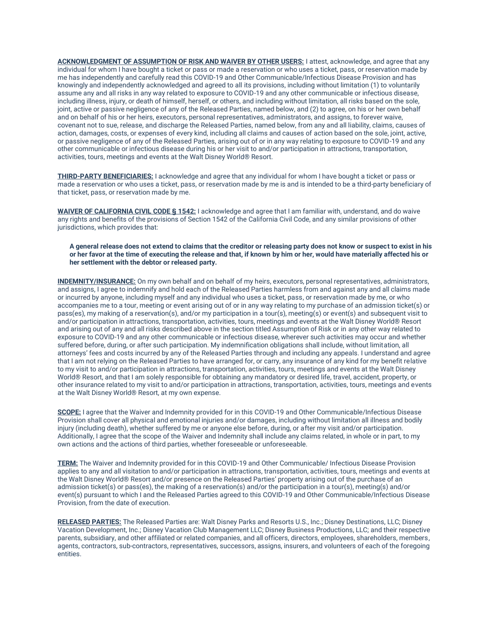**ACKNOWLEDGMENT OF ASSUMPTION OF RISK AND WAIVER BY OTHER USERS:** I attest, acknowledge, and agree that any individual for whom I have bought a ticket or pass or made a reservation or who uses a ticket, pass, or reservation made by me has independently and carefully read this COVID-19 and Other Communicable/Infectious Disease Provision and has knowingly and independently acknowledged and agreed to all its provisions, including without limitation (1) to voluntarily assume any and all risks in any way related to exposure to COVID-19 and any other communicable or infectious disease, including illness, injury, or death of himself, herself, or others, and including without limitation, all risks based on the sole, joint, active or passive negligence of any of the Released Parties, named below, and (2) to agree, on his or her own behalf and on behalf of his or her heirs, executors, personal representatives, administrators, and assigns, to forever waive, covenant not to sue, release, and discharge the Released Parties, named below, from any and all liability, claims, causes of action, damages, costs, or expenses of every kind, including all claims and causes of action based on the sole, joint, active, or passive negligence of any of the Released Parties, arising out of or in any way relating to exposure to COVID-19 and any other communicable or infectious disease during his or her visit to and/or participation in attractions, transportation, activities, tours, meetings and events at the Walt Disney World® Resort.

**THIRD-PARTY BENEFICIARIES:** I acknowledge and agree that any individual for whom I have bought a ticket or pass or made a reservation or who uses a ticket, pass, or reservation made by me is and is intended to be a third-party beneficiary of that ticket, pass, or reservation made by me.

**WAIVER OF CALIFORNIA CIVIL CODE § 1542:** I acknowledge and agree that I am familiar with, understand, and do waive any rights and benefits of the provisions of Section 1542 of the California Civil Code, and any similar provisions of other jurisdictions, which provides that:

**A general release does not extend to claims that the creditor or releasing party does not know or suspect to exist in his or her favor at the time of executing the release and that, if known by him or her, would have materially affected his or her settlement with the debtor or released party.**

**INDEMNITY/INSURANCE:** On my own behalf and on behalf of my heirs, executors, personal representatives, administrators, and assigns, I agree to indemnify and hold each of the Released Parties harmless from and against any and all claims made or incurred by anyone, including myself and any individual who uses a ticket, pass, or reservation made by me, or who accompanies me to a tour, meeting or event arising out of or in any way relating to my purchase of an admission ticket(s) or pass(es), my making of a reservation(s), and/or my participation in a tour(s), meeting(s) or event(s) and subsequent visit to and/or participation in attractions, transportation, activities, tours, meetings and events at the Walt Disney World® Resort and arising out of any and all risks described above in the section titled Assumption of Risk or in any other way related to exposure to COVID-19 and any other communicable or infectious disease, wherever such activities may occur and whether suffered before, during, or after such participation. My indemnification obligations shall include, without limitation, all attorneys' fees and costs incurred by any of the Released Parties through and including any appeals. I understand and agree that I am not relying on the Released Parties to have arranged for, or carry, any insurance of any kind for my benefit relative to my visit to and/or participation in attractions, transportation, activities, tours, meetings and events at the Walt Disney World® Resort, and that I am solely responsible for obtaining any mandatory or desired life, travel, accident, property, or other insurance related to my visit to and/or participation in attractions, transportation, activities, tours, meetings and events at the Walt Disney World® Resort, at my own expense.

**SCOPE:** I agree that the Waiver and Indemnity provided for in this COVID-19 and Other Communicable/Infectious Disease Provision shall cover all physical and emotional injuries and/or damages, including without limitation all illness and bodily injury (including death), whether suffered by me or anyone else before, during, or after my visit and/or participation. Additionally, I agree that the scope of the Waiver and Indemnity shall include any claims related, in whole or in part, to my own actions and the actions of third parties, whether foreseeable or unforeseeable.

**TERM:** The Waiver and Indemnity provided for in this COVID-19 and Other Communicable/ Infectious Disease Provision applies to any and all visitation to and/or participation in attractions, transportation, activities, tours, meetings and events at the Walt Disney World® Resort and/or presence on the Released Parties' property arising out of the purchase of an admission ticket(s) or pass(es), the making of a reservation(s) and/or the participation in a tour(s), meeting(s) and/or event(s) pursuant to which I and the Released Parties agreed to this COVID-19 and Other Communicable/Infectious Disease Provision, from the date of execution.

**RELEASED PARTIES:** The Released Parties are: Walt Disney Parks and Resorts U.S., Inc.; Disney Destinations, LLC; Disney Vacation Development, Inc.; Disney Vacation Club Management LLC; Disney Business Productions, LLC; and their respective parents, subsidiary, and other affiliated or related companies, and all officers, directors, employees, shareholders, members, agents, contractors, sub-contractors, representatives, successors, assigns, insurers, and volunteers of each of the foregoing entities.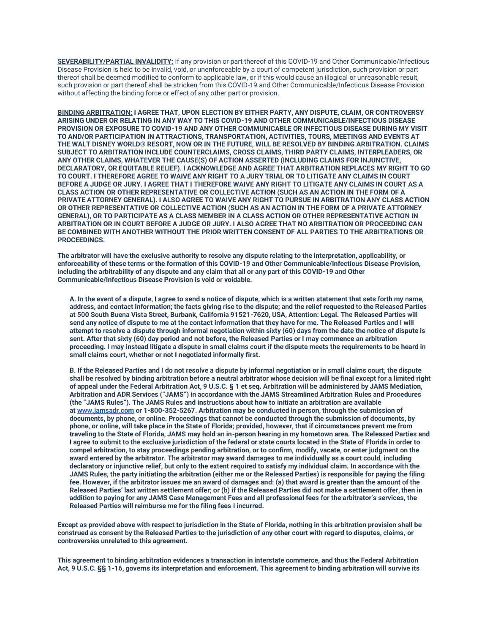**SEVERABILITY/PARTIAL INVALIDITY:** If any provision or part thereof of this COVID-19 and Other Communicable/Infectious Disease Provision is held to be invalid, void, or unenforceable by a court of competent jurisdiction, such provision or part thereof shall be deemed modified to conform to applicable law, or if this would cause an illogical or unreasonable result, such provision or part thereof shall be stricken from this COVID-19 and Other Communicable/Infectious Disease Provision without affecting the binding force or effect of any other part or provision.

**BINDING ARBITRATION: I AGREE THAT, UPON ELECTION BY EITHER PARTY, ANY DISPUTE, CLAIM, OR CONTROVERSY ARISING UNDER OR RELATING IN ANY WAY TO THIS COVID-19 AND OTHER COMMUNICABLE/INFECTIOUS DISEASE PROVISION OR EXPOSURE TO COVID-19 AND ANY OTHER COMMUNICABLE OR INFECTIOUS DISEASE DURING MY VISIT TO AND/OR PARTICIPATION IN ATTRACTIONS, TRANSPORTATION, ACTIVITIES, TOURS, MEETINGS AND EVENTS AT THE WALT DISNEY WORLD® RESORT, NOW OR IN THE FUTURE, WILL BE RESOLVED BY BINDING ARBITRATION. CLAIMS SUBJECT TO ARBITRATION INCLUDE COUNTERCLAIMS, CROSS CLAIMS, THIRD PARTY CLAIMS, INTERPLEADERS, OR ANY OTHER CLAIMS, WHATEVER THE CAUSE(S) OF ACTION ASSERTED (INCLUDING CLAIMS FOR INJUNCTIVE, DECLARATORY, OR EQUITABLE RELIEF). I ACKNOWLEDGE AND AGREE THAT ARBITRATION REPLACES MY RIGHT TO GO TO COURT. I THEREFORE AGREE TO WAIVE ANY RIGHT TO A JURY TRIAL OR TO LITIGATE ANY CLAIMS IN COURT BEFORE A JUDGE OR JURY. I AGREE THAT I THEREFORE WAIVE ANY RIGHT TO LITIGATE ANY CLAIMS IN COURT AS A CLASS ACTION OR OTHER REPRESENTATIVE OR COLLECTIVE ACTION (SUCH AS AN ACTION IN THE FORM OF A PRIVATE ATTORNEY GENERAL). I ALSO AGREE TO WAIVE ANY RIGHT TO PURSUE IN ARBITRATION ANY CLASS ACTION OR OTHER REPRESENTATIVE OR COLLECTIVE ACTION (SUCH AS AN ACTION IN THE FORM OF A PRIVATE ATTORNEY GENERAL), OR TO PARTICIPATE AS A CLASS MEMBER IN A CLASS ACTION OR OTHER REPRESENTATIVE ACTION IN ARBITRATION OR IN COURT BEFORE A JUDGE OR JURY. I ALSO AGREE THAT NO ARBITRATION OR PROCEEDING CAN BE COMBINED WITH ANOTHER WITHOUT THE PRIOR WRITTEN CONSENT OF ALL PARTIES TO THE ARBITRATIONS OR PROCEEDINGS.**

**The arbitrator will have the exclusive authority to resolve any dispute relating to the interpretation, applicability, or enforceability of these terms or the formation of this COVID-19 and Other Communicable/Infectious Disease Provision, including the arbitrability of any dispute and any claim that all or any part of this COVID-19 and Other Communicable/Infectious Disease Provision is void or voidable.**

**A. In the event of a dispute, I agree to send a notice of dispute, which is a written statement that sets forth my name, address, and contact information; the facts giving rise to the dispute; and the relief requested to the Released Parties at 500 South Buena Vista Street, Burbank, California 91521-7620, USA, Attention: Legal. The Released Parties will send any notice of dispute to me at the contact information that they have for me. The Released Parties and I will attempt to resolve a dispute through informal negotiation within sixty (60) days from the date the notice of dispute is sent. After that sixty (60) day period and not before, the Released Parties or I may commence an arbitration proceeding. I may instead litigate a dispute in small claims court if the dispute meets the requirements to be heard in small claims court, whether or not I negotiated informally first.**

**B. If the Released Parties and I do not resolve a dispute by informal negotiation or in small claims court, the dispute shall be resolved by binding arbitration before a neutral arbitrator whose decision will be final except for a limited right of appeal under the Federal Arbitration Act, 9 U.S.C. § 1 et seq. Arbitration will be administered by JAMS Mediation, Arbitration and ADR Services ("JAMS") in accordance with the JAMS Streamlined Arbitration Rules and Procedures (the "JAMS Rules"). The JAMS Rules and instructions about how to initiate an arbitration are available at [www.jamsadr.com](http://www.jamsadr.com/) or 1-800-352-5267. Arbitration may be conducted in person, through the submission of documents, by phone, or online. Proceedings that cannot be conducted through the submission of documents, by phone, or online, will take place in the State of Florida; provided, however, that if circumstances prevent me from traveling to the State of Florida, JAMS may hold an in-person hearing in my hometown area. The Released Parties and I agree to submit to the exclusive jurisdiction of the federal or state courts located in the State of Florida in order to compel arbitration, to stay proceedings pending arbitration, or to confirm, modify, vacate, or enter judgment on the award entered by the arbitrator. The arbitrator may award damages to me individually as a court could, including declaratory or injunctive relief, but only to the extent required to satisfy my individual claim. In accordance with the JAMS Rules, the party initiating the arbitration (either me or the Released Parties) is responsible for paying the filing fee. However, if the arbitrator issues me an award of damages and: (a) that award is greater than the amount of the Released Parties' last written settlement offer; or (b) if the Released Parties did not make a settlement offer, then in addition to paying for any JAMS Case Management Fees and all professional fees for the arbitrator's services, the Released Parties will reimburse me for the filing fees I incurred.**

**Except as provided above with respect to jurisdiction in the State of Florida, nothing in this arbitration provision shall be construed as consent by the Released Parties to the jurisdiction of any other court with regard to disputes, claims, or controversies unrelated to this agreement.**

**This agreement to binding arbitration evidences a transaction in interstate commerce, and thus the Federal Arbitration Act, 9 U.S.C. §§ 1-16, governs its interpretation and enforcement. This agreement to binding arbitration will survive its**